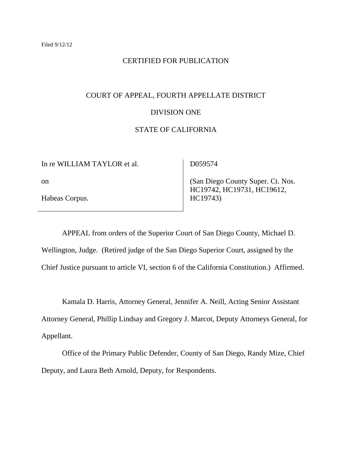### CERTIFIED FOR PUBLICATION

### COURT OF APPEAL, FOURTH APPELLATE DISTRICT

#### DIVISION ONE

# STATE OF CALIFORNIA

In re WILLIAM TAYLOR et al.

D059574

on

Habeas Corpus.

 (San Diego County Super. Ct. Nos. HC19742, HC19731, HC19612, HC19743)

APPEAL from orders of the Superior Court of San Diego County, Michael D. Wellington, Judge. (Retired judge of the San Diego Superior Court, assigned by the Chief Justice pursuant to article VI, section 6 of the California Constitution.) Affirmed.

Kamala D. Harris, Attorney General, Jennifer A. Neill, Acting Senior Assistant

Attorney General, Phillip Lindsay and Gregory J. Marcot, Deputy Attorneys General, for Appellant.

Office of the Primary Public Defender, County of San Diego, Randy Mize, Chief Deputy, and Laura Beth Arnold, Deputy, for Respondents.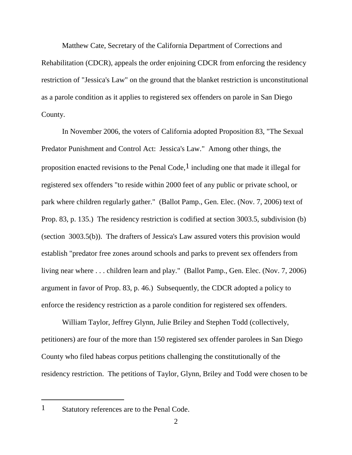Matthew Cate, Secretary of the California Department of Corrections and Rehabilitation (CDCR), appeals the order enjoining CDCR from enforcing the residency restriction of "Jessica's Law" on the ground that the blanket restriction is unconstitutional as a parole condition as it applies to registered sex offenders on parole in San Diego County.

In November 2006, the voters of California adopted Proposition 83, "The Sexual Predator Punishment and Control Act: Jessica's Law." Among other things, the proposition enacted revisions to the Penal Code,<sup>1</sup> including one that made it illegal for registered sex offenders "to reside within 2000 feet of any public or private school, or park where children regularly gather." (Ballot Pamp., Gen. Elec. (Nov. 7, 2006) text of Prop. 83, p. 135.) The residency restriction is codified at section 3003.5, subdivision (b) (section 3003.5(b)). The drafters of Jessica's Law assured voters this provision would establish "predator free zones around schools and parks to prevent sex offenders from living near where . . . children learn and play." (Ballot Pamp., Gen. Elec. (Nov. 7, 2006) argument in favor of Prop. 83, p. 46.) Subsequently, the CDCR adopted a policy to enforce the residency restriction as a parole condition for registered sex offenders.

William Taylor, Jeffrey Glynn, Julie Briley and Stephen Todd (collectively, petitioners) are four of the more than 150 registered sex offender parolees in San Diego County who filed habeas corpus petitions challenging the constitutionally of the residency restriction. The petitions of Taylor, Glynn, Briley and Todd were chosen to be

<sup>1</sup> Statutory references are to the Penal Code.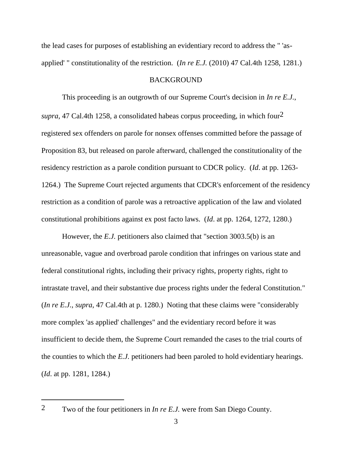the lead cases for purposes of establishing an evidentiary record to address the " 'asapplied' " constitutionality of the restriction. (*In re E.J.* (2010) 47 Cal.4th 1258, 1281.)

### **BACKGROUND**

This proceeding is an outgrowth of our Supreme Court's decision in *In re E.J.*, *supra*, 47 Cal.4th 1258, a consolidated habeas corpus proceeding, in which four2 registered sex offenders on parole for nonsex offenses committed before the passage of Proposition 83, but released on parole afterward, challenged the constitutionality of the residency restriction as a parole condition pursuant to CDCR policy. (*Id*. at pp. 1263- 1264.) The Supreme Court rejected arguments that CDCR's enforcement of the residency restriction as a condition of parole was a retroactive application of the law and violated constitutional prohibitions against ex post facto laws. (*Id*. at pp. 1264, 1272, 1280.)

However, the *E.J.* petitioners also claimed that "section 3003.5(b) is an unreasonable, vague and overbroad parole condition that infringes on various state and federal constitutional rights, including their privacy rights, property rights, right to intrastate travel, and their substantive due process rights under the federal Constitution." (*In re E.J.*, *supra*, 47 Cal.4th at p. 1280.) Noting that these claims were "considerably more complex 'as applied' challenges" and the evidentiary record before it was insufficient to decide them, the Supreme Court remanded the cases to the trial courts of the counties to which the *E.J.* petitioners had been paroled to hold evidentiary hearings. (*Id*. at pp. 1281, 1284.)

<sup>2</sup> Two of the four petitioners in *In re E.J.* were from San Diego County.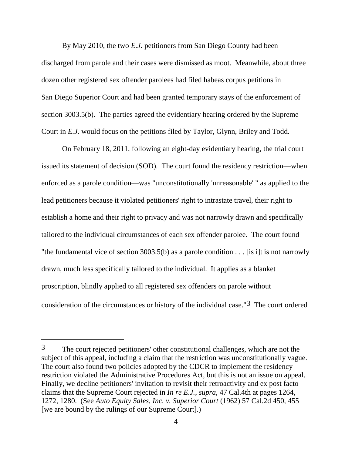By May 2010, the two *E.J.* petitioners from San Diego County had been discharged from parole and their cases were dismissed as moot. Meanwhile, about three dozen other registered sex offender parolees had filed habeas corpus petitions in San Diego Superior Court and had been granted temporary stays of the enforcement of section 3003.5(b). The parties agreed the evidentiary hearing ordered by the Supreme Court in *E.J.* would focus on the petitions filed by Taylor, Glynn, Briley and Todd.

On February 18, 2011, following an eight-day evidentiary hearing, the trial court issued its statement of decision (SOD). The court found the residency restriction—when enforced as a parole condition—was "unconstitutionally 'unreasonable' " as applied to the lead petitioners because it violated petitioners' right to intrastate travel, their right to establish a home and their right to privacy and was not narrowly drawn and specifically tailored to the individual circumstances of each sex offender parolee. The court found "the fundamental vice of section 3003.5(b) as a parole condition  $\dots$  [is i]t is not narrowly drawn, much less specifically tailored to the individual. It applies as a blanket proscription, blindly applied to all registered sex offenders on parole without consideration of the circumstances or history of the individual case."3 The court ordered

<sup>3</sup> The court rejected petitioners' other constitutional challenges, which are not the subject of this appeal, including a claim that the restriction was unconstitutionally vague. The court also found two policies adopted by the CDCR to implement the residency restriction violated the Administrative Procedures Act, but this is not an issue on appeal. Finally, we decline petitioners' invitation to revisit their retroactivity and ex post facto claims that the Supreme Court rejected in *In re E.J.*, *supra*, 47 Cal.4th at pages 1264, 1272, 1280. (See *Auto Equity Sales, Inc. v. Superior Court* (1962) 57 Cal.2d 450, 455 [we are bound by the rulings of our Supreme Court].)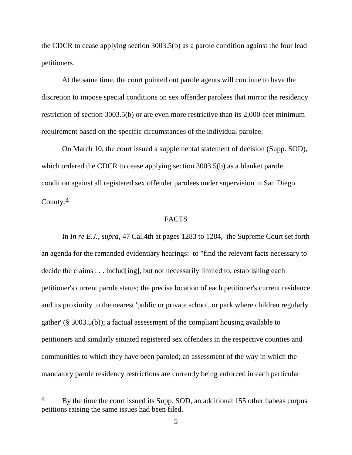the CDCR to cease applying section 3003.5(b) as a parole condition against the four lead petitioners.

At the same time, the court pointed out parole agents will continue to have the discretion to impose special conditions on sex offender parolees that mirror the residency restriction of section 3003.5(b) or are even more restrictive than its 2,000-feet minimum requirement based on the specific circumstances of the individual parolee.

On March 10, the court issued a supplemental statement of decision (Supp. SOD), which ordered the CDCR to cease applying section 3003.5(b) as a blanket parole condition against all registered sex offender parolees under supervision in San Diego County.4

## **FACTS**

In *In re E.J.*, *supra*, 47 Cal.4th at pages 1283 to 1284, the Supreme Court set forth an agenda for the remanded evidentiary hearings: to "find the relevant facts necessary to decide the claims . . . includ[ing], but not necessarily limited to, establishing each petitioner's current parole status; the precise location of each petitioner's current residence and its proximity to the nearest 'public or private school, or park where children regularly gather' (§ 3003.5(b)); a factual assessment of the compliant housing available to petitioners and similarly situated registered sex offenders in the respective counties and communities to which they have been paroled; an assessment of the way in which the mandatory parole residency restrictions are currently being enforced in each particular

 $4$  By the time the court issued its Supp. SOD, an additional 155 other habeas corpus petitions raising the same issues had been filed.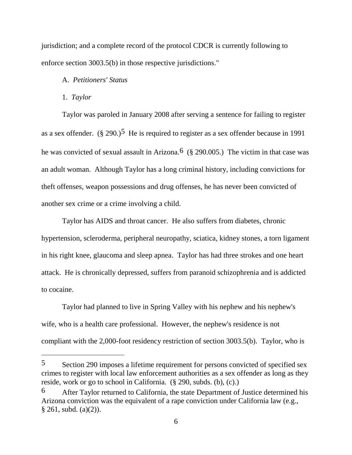jurisdiction; and a complete record of the protocol CDCR is currently following to enforce section 3003.5(b) in those respective jurisdictions."

## A. *Petitioners' Status*

#### 1. *Taylor*

Taylor was paroled in January 2008 after serving a sentence for failing to register as a sex offender.  $(\S 290.)^5$  He is required to register as a sex offender because in 1991 he was convicted of sexual assault in Arizona.<sup>6</sup> (§ 290.005.) The victim in that case was an adult woman. Although Taylor has a long criminal history, including convictions for theft offenses, weapon possessions and drug offenses, he has never been convicted of another sex crime or a crime involving a child.

Taylor has AIDS and throat cancer. He also suffers from diabetes, chronic hypertension, scleroderma, peripheral neuropathy, sciatica, kidney stones, a torn ligament in his right knee, glaucoma and sleep apnea. Taylor has had three strokes and one heart attack. He is chronically depressed, suffers from paranoid schizophrenia and is addicted to cocaine.

Taylor had planned to live in Spring Valley with his nephew and his nephew's wife, who is a health care professional. However, the nephew's residence is not compliant with the 2,000-foot residency restriction of section 3003.5(b). Taylor, who is

<sup>5</sup> Section 290 imposes a lifetime requirement for persons convicted of specified sex crimes to register with local law enforcement authorities as a sex offender as long as they reside, work or go to school in California. (§ 290, subds. (b), (c).)

<sup>6</sup> After Taylor returned to California, the state Department of Justice determined his Arizona conviction was the equivalent of a rape conviction under California law (e.g.,  $§ 261, subd. (a)(2)).$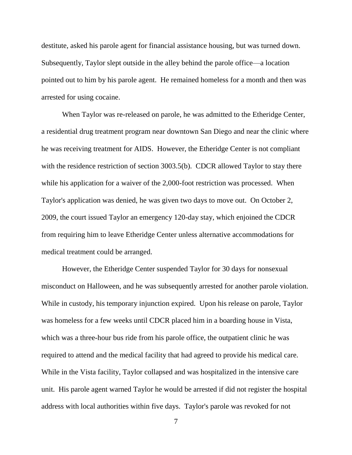destitute, asked his parole agent for financial assistance housing, but was turned down. Subsequently, Taylor slept outside in the alley behind the parole office—a location pointed out to him by his parole agent. He remained homeless for a month and then was arrested for using cocaine.

When Taylor was re-released on parole, he was admitted to the Etheridge Center, a residential drug treatment program near downtown San Diego and near the clinic where he was receiving treatment for AIDS. However, the Etheridge Center is not compliant with the residence restriction of section 3003.5(b). CDCR allowed Taylor to stay there while his application for a waiver of the 2,000-foot restriction was processed. When Taylor's application was denied, he was given two days to move out. On October 2, 2009, the court issued Taylor an emergency 120-day stay, which enjoined the CDCR from requiring him to leave Etheridge Center unless alternative accommodations for medical treatment could be arranged.

However, the Etheridge Center suspended Taylor for 30 days for nonsexual misconduct on Halloween, and he was subsequently arrested for another parole violation. While in custody, his temporary injunction expired. Upon his release on parole, Taylor was homeless for a few weeks until CDCR placed him in a boarding house in Vista, which was a three-hour bus ride from his parole office, the outpatient clinic he was required to attend and the medical facility that had agreed to provide his medical care. While in the Vista facility, Taylor collapsed and was hospitalized in the intensive care unit. His parole agent warned Taylor he would be arrested if did not register the hospital address with local authorities within five days. Taylor's parole was revoked for not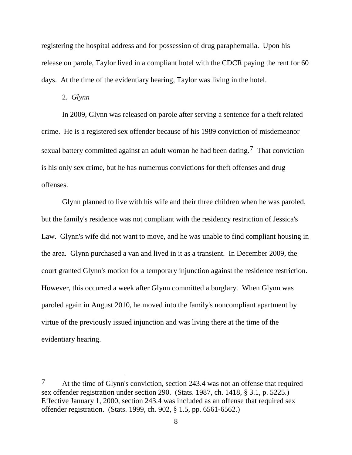registering the hospital address and for possession of drug paraphernalia. Upon his release on parole, Taylor lived in a compliant hotel with the CDCR paying the rent for 60 days. At the time of the evidentiary hearing, Taylor was living in the hotel.

#### 2. *Glynn*

In 2009, Glynn was released on parole after serving a sentence for a theft related crime. He is a registered sex offender because of his 1989 conviction of misdemeanor sexual battery committed against an adult woman he had been dating.<sup>7</sup> That conviction is his only sex crime, but he has numerous convictions for theft offenses and drug offenses.

Glynn planned to live with his wife and their three children when he was paroled, but the family's residence was not compliant with the residency restriction of Jessica's Law. Glynn's wife did not want to move, and he was unable to find compliant housing in the area. Glynn purchased a van and lived in it as a transient. In December 2009, the court granted Glynn's motion for a temporary injunction against the residence restriction. However, this occurred a week after Glynn committed a burglary. When Glynn was paroled again in August 2010, he moved into the family's noncompliant apartment by virtue of the previously issued injunction and was living there at the time of the evidentiary hearing.

<sup>7</sup> At the time of Glynn's conviction, section 243.4 was not an offense that required sex offender registration under section 290. (Stats. 1987, ch. 1418, § 3.1, p. 5225.) Effective January 1, 2000, section 243.4 was included as an offense that required sex offender registration. (Stats. 1999, ch. 902, § 1.5, pp. 6561-6562.)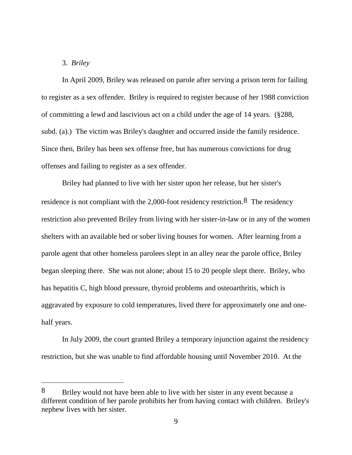# 3. *Briley*

In April 2009, Briley was released on parole after serving a prison term for failing to register as a sex offender. Briley is required to register because of her 1988 conviction of committing a lewd and lascivious act on a child under the age of 14 years. (§288, subd. (a).) The victim was Briley's daughter and occurred inside the family residence. Since then, Briley has been sex offense free, but has numerous convictions for drug offenses and failing to register as a sex offender.

Briley had planned to live with her sister upon her release, but her sister's residence is not compliant with the 2,000-foot residency restriction.8 The residency restriction also prevented Briley from living with her sister-in-law or in any of the women shelters with an available bed or sober living houses for women. After learning from a parole agent that other homeless parolees slept in an alley near the parole office, Briley began sleeping there. She was not alone; about 15 to 20 people slept there. Briley, who has hepatitis C, high blood pressure, thyroid problems and osteoarthritis, which is aggravated by exposure to cold temperatures, lived there for approximately one and onehalf years.

In July 2009, the court granted Briley a temporary injunction against the residency restriction, but she was unable to find affordable housing until November 2010. At the

<sup>8</sup> Briley would not have been able to live with her sister in any event because a different condition of her parole prohibits her from having contact with children. Briley's nephew lives with her sister.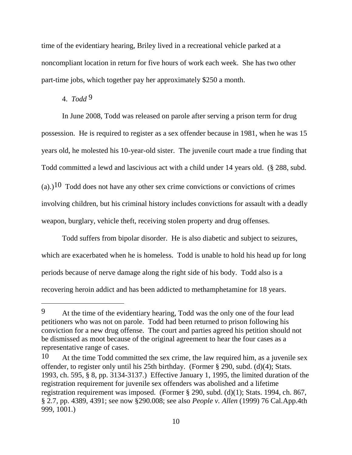time of the evidentiary hearing, Briley lived in a recreational vehicle parked at a noncompliant location in return for five hours of work each week. She has two other part-time jobs, which together pay her approximately \$250 a month.

# 4. *Todd* 9

In June 2008, Todd was released on parole after serving a prison term for drug possession. He is required to register as a sex offender because in 1981, when he was 15 years old, he molested his 10-year-old sister. The juvenile court made a true finding that Todd committed a lewd and lascivious act with a child under 14 years old. (§ 288, subd. (a).)<sup>10</sup> Todd does not have any other sex crime convictions or convictions of crimes involving children, but his criminal history includes convictions for assault with a deadly weapon, burglary, vehicle theft, receiving stolen property and drug offenses.

Todd suffers from bipolar disorder. He is also diabetic and subject to seizures, which are exacerbated when he is homeless. Todd is unable to hold his head up for long periods because of nerve damage along the right side of his body. Todd also is a recovering heroin addict and has been addicted to methamphetamine for 18 years.

<sup>9</sup> At the time of the evidentiary hearing, Todd was the only one of the four lead petitioners who was not on parole. Todd had been returned to prison following his conviction for a new drug offense. The court and parties agreed his petition should not be dismissed as moot because of the original agreement to hear the four cases as a representative range of cases.

<sup>10</sup> At the time Todd committed the sex crime, the law required him, as a juvenile sex offender, to register only until his 25th birthday. (Former § 290, subd. (d)(4); Stats. 1993, ch. 595, § 8, pp. 3134-3137.) Effective January 1, 1995, the limited duration of the registration requirement for juvenile sex offenders was abolished and a lifetime registration requirement was imposed. (Former § 290, subd. (d)(1); Stats. 1994, ch. 867, § 2.7, pp. 4389, 4391; see now §290.008; see also *People v. Allen* (1999) 76 Cal.App.4th 999, 1001.)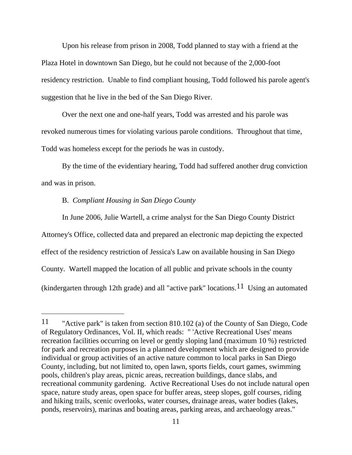Upon his release from prison in 2008, Todd planned to stay with a friend at the Plaza Hotel in downtown San Diego, but he could not because of the 2,000-foot residency restriction. Unable to find compliant housing, Todd followed his parole agent's suggestion that he live in the bed of the San Diego River.

Over the next one and one-half years, Todd was arrested and his parole was revoked numerous times for violating various parole conditions. Throughout that time, Todd was homeless except for the periods he was in custody.

By the time of the evidentiary hearing, Todd had suffered another drug conviction and was in prison.

# B. *Compliant Housing in San Diego County*

 $\overline{a}$ 

In June 2006, Julie Wartell, a crime analyst for the San Diego County District Attorney's Office, collected data and prepared an electronic map depicting the expected effect of the residency restriction of Jessica's Law on available housing in San Diego County. Wartell mapped the location of all public and private schools in the county (kindergarten through 12th grade) and all "active park" locations.<sup>11</sup> Using an automated

<sup>11</sup> "Active park" is taken from section 810.102 (a) of the County of San Diego, Code of Regulatory Ordinances, Vol. II, which reads: " 'Active Recreational Uses' means recreation facilities occurring on level or gently sloping land (maximum 10 %) restricted for park and recreation purposes in a planned development which are designed to provide individual or group activities of an active nature common to local parks in San Diego County, including, but not limited to, open lawn, sports fields, court games, swimming pools, children's play areas, picnic areas, recreation buildings, dance slabs, and recreational community gardening. Active Recreational Uses do not include natural open space, nature study areas, open space for buffer areas, steep slopes, golf courses, riding and hiking trails, scenic overlooks, water courses, drainage areas, water bodies (lakes, ponds, reservoirs), marinas and boating areas, parking areas, and archaeology areas."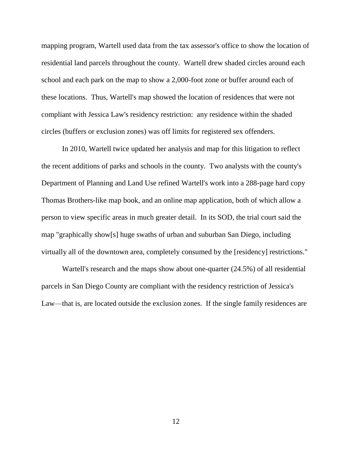mapping program, Wartell used data from the tax assessor's office to show the location of residential land parcels throughout the county. Wartell drew shaded circles around each school and each park on the map to show a 2,000-foot zone or buffer around each of these locations. Thus, Wartell's map showed the location of residences that were not compliant with Jessica Law's residency restriction: any residence within the shaded circles (buffers or exclusion zones) was off limits for registered sex offenders.

In 2010, Wartell twice updated her analysis and map for this litigation to reflect the recent additions of parks and schools in the county. Two analysts with the county's Department of Planning and Land Use refined Wartell's work into a 288-page hard copy Thomas Brothers-like map book, and an online map application, both of which allow a person to view specific areas in much greater detail. In its SOD, the trial court said the map "graphically show[s] huge swaths of urban and suburban San Diego, including virtually all of the downtown area, completely consumed by the [residency] restrictions."

Wartell's research and the maps show about one-quarter (24.5%) of all residential parcels in San Diego County are compliant with the residency restriction of Jessica's Law—that is, are located outside the exclusion zones. If the single family residences are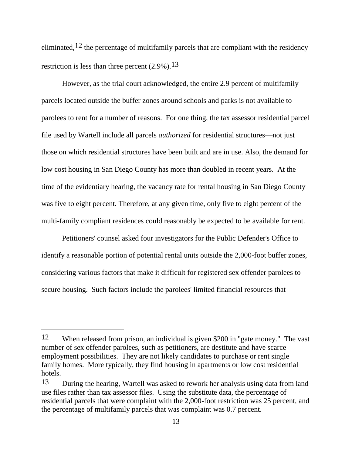eliminated,<sup>12</sup> the percentage of multifamily parcels that are compliant with the residency restriction is less than three percent  $(2.9\%)$ .<sup>13</sup>

However, as the trial court acknowledged, the entire 2.9 percent of multifamily parcels located outside the buffer zones around schools and parks is not available to parolees to rent for a number of reasons. For one thing, the tax assessor residential parcel file used by Wartell include all parcels *authorized* for residential structures—not just those on which residential structures have been built and are in use. Also, the demand for low cost housing in San Diego County has more than doubled in recent years. At the time of the evidentiary hearing, the vacancy rate for rental housing in San Diego County was five to eight percent. Therefore, at any given time, only five to eight percent of the multi-family compliant residences could reasonably be expected to be available for rent.

Petitioners' counsel asked four investigators for the Public Defender's Office to identify a reasonable portion of potential rental units outside the 2,000-foot buffer zones, considering various factors that make it difficult for registered sex offender parolees to secure housing. Such factors include the parolees' limited financial resources that

<sup>12</sup> When released from prison, an individual is given \$200 in "gate money." The vast number of sex offender parolees, such as petitioners, are destitute and have scarce employment possibilities. They are not likely candidates to purchase or rent single family homes. More typically, they find housing in apartments or low cost residential hotels.

<sup>13</sup> During the hearing, Wartell was asked to rework her analysis using data from land use files rather than tax assessor files. Using the substitute data, the percentage of residential parcels that were complaint with the 2,000-foot restriction was 25 percent, and the percentage of multifamily parcels that was complaint was 0.7 percent.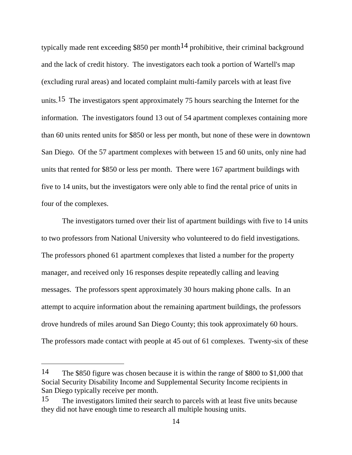typically made rent exceeding \$850 per month<sup>14</sup> prohibitive, their criminal background and the lack of credit history. The investigators each took a portion of Wartell's map (excluding rural areas) and located complaint multi-family parcels with at least five units.<sup>15</sup> The investigators spent approximately 75 hours searching the Internet for the information. The investigators found 13 out of 54 apartment complexes containing more than 60 units rented units for \$850 or less per month, but none of these were in downtown San Diego. Of the 57 apartment complexes with between 15 and 60 units, only nine had units that rented for \$850 or less per month. There were 167 apartment buildings with five to 14 units, but the investigators were only able to find the rental price of units in four of the complexes.

The investigators turned over their list of apartment buildings with five to 14 units to two professors from National University who volunteered to do field investigations. The professors phoned 61 apartment complexes that listed a number for the property manager, and received only 16 responses despite repeatedly calling and leaving messages. The professors spent approximately 30 hours making phone calls. In an attempt to acquire information about the remaining apartment buildings, the professors drove hundreds of miles around San Diego County; this took approximately 60 hours. The professors made contact with people at 45 out of 61 complexes. Twenty-six of these

<sup>14</sup> The \$850 figure was chosen because it is within the range of \$800 to \$1,000 that Social Security Disability Income and Supplemental Security Income recipients in San Diego typically receive per month.

<sup>15</sup> The investigators limited their search to parcels with at least five units because they did not have enough time to research all multiple housing units.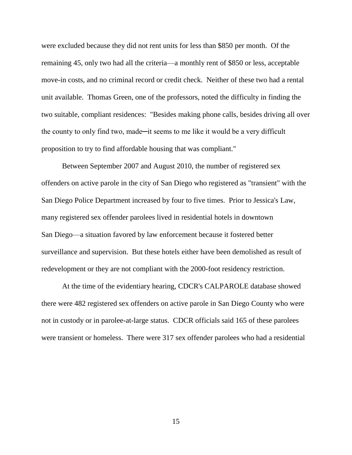were excluded because they did not rent units for less than \$850 per month. Of the remaining 45, only two had all the criteria—a monthly rent of \$850 or less, acceptable move-in costs, and no criminal record or credit check. Neither of these two had a rental unit available. Thomas Green, one of the professors, noted the difficulty in finding the two suitable, compliant residences: "Besides making phone calls, besides driving all over the county to only find two, made—it seems to me like it would be a very difficult proposition to try to find affordable housing that was compliant."

Between September 2007 and August 2010, the number of registered sex offenders on active parole in the city of San Diego who registered as "transient" with the San Diego Police Department increased by four to five times. Prior to Jessica's Law, many registered sex offender parolees lived in residential hotels in downtown San Diego—a situation favored by law enforcement because it fostered better surveillance and supervision. But these hotels either have been demolished as result of redevelopment or they are not compliant with the 2000-foot residency restriction.

At the time of the evidentiary hearing, CDCR's CALPAROLE database showed there were 482 registered sex offenders on active parole in San Diego County who were not in custody or in parolee-at-large status. CDCR officials said 165 of these parolees were transient or homeless. There were 317 sex offender parolees who had a residential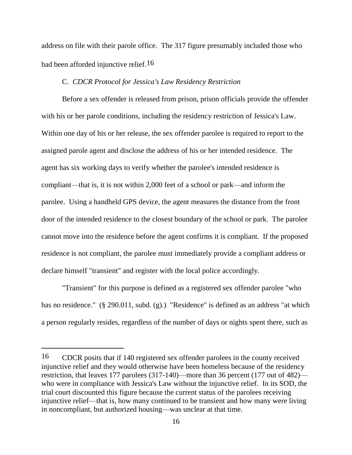address on file with their parole office. The 317 figure presumably included those who had been afforded injunctive relief.<sup>16</sup>

### C. *CDCR Protocol for Jessica's Law Residency Restriction*

Before a sex offender is released from prison, prison officials provide the offender with his or her parole conditions, including the residency restriction of Jessica's Law. Within one day of his or her release, the sex offender parolee is required to report to the assigned parole agent and disclose the address of his or her intended residence. The agent has six working days to verify whether the parolee's intended residence is compliant—that is, it is not within 2,000 feet of a school or park—and inform the parolee. Using a handheld GPS device, the agent measures the distance from the front door of the intended residence to the closest boundary of the school or park. The parolee cannot move into the residence before the agent confirms it is compliant. If the proposed residence is not compliant, the parolee must immediately provide a compliant address or declare himself "transient" and register with the local police accordingly.

"Transient" for this purpose is defined as a registered sex offender parolee "who has no residence." (§ 290.011, subd. (g).) "Residence" is defined as an address "at which a person regularly resides, regardless of the number of days or nights spent there, such as

<sup>16</sup> CDCR posits that if 140 registered sex offender parolees in the county received injunctive relief and they would otherwise have been homeless because of the residency restriction, that leaves 177 parolees (317-140)—more than 36 percent (177 out of 482) who were in compliance with Jessica's Law without the injunctive relief. In its SOD, the trial court discounted this figure because the current status of the parolees receiving injunctive relief—that is, how many continued to be transient and how many were living in noncompliant, but authorized housing—was unclear at that time.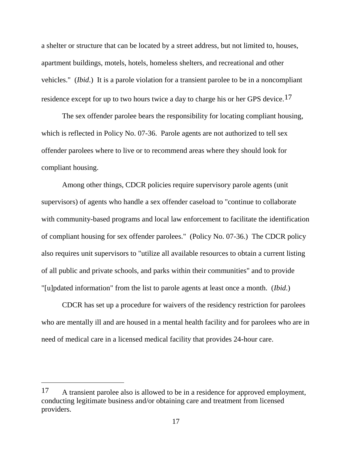a shelter or structure that can be located by a street address, but not limited to, houses, apartment buildings, motels, hotels, homeless shelters, and recreational and other vehicles." (*Ibid*.) It is a parole violation for a transient parolee to be in a noncompliant residence except for up to two hours twice a day to charge his or her GPS device.<sup>17</sup>

The sex offender parolee bears the responsibility for locating compliant housing, which is reflected in Policy No. 07-36. Parole agents are not authorized to tell sex offender parolees where to live or to recommend areas where they should look for compliant housing.

Among other things, CDCR policies require supervisory parole agents (unit supervisors) of agents who handle a sex offender caseload to "continue to collaborate with community-based programs and local law enforcement to facilitate the identification of compliant housing for sex offender parolees." (Policy No. 07-36.) The CDCR policy also requires unit supervisors to "utilize all available resources to obtain a current listing of all public and private schools, and parks within their communities" and to provide "[u]pdated information" from the list to parole agents at least once a month. (*Ibid*.)

CDCR has set up a procedure for waivers of the residency restriction for parolees who are mentally ill and are housed in a mental health facility and for parolees who are in need of medical care in a licensed medical facility that provides 24-hour care.

<sup>17</sup> A transient parolee also is allowed to be in a residence for approved employment, conducting legitimate business and/or obtaining care and treatment from licensed providers.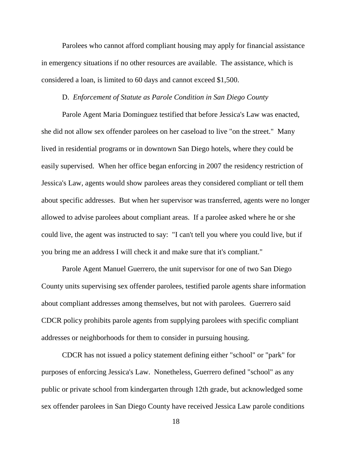Parolees who cannot afford compliant housing may apply for financial assistance in emergency situations if no other resources are available. The assistance, which is considered a loan, is limited to 60 days and cannot exceed \$1,500.

#### D. *Enforcement of Statute as Parole Condition in San Diego County*

Parole Agent Maria Dominguez testified that before Jessica's Law was enacted, she did not allow sex offender parolees on her caseload to live "on the street." Many lived in residential programs or in downtown San Diego hotels, where they could be easily supervised. When her office began enforcing in 2007 the residency restriction of Jessica's Law, agents would show parolees areas they considered compliant or tell them about specific addresses. But when her supervisor was transferred, agents were no longer allowed to advise parolees about compliant areas. If a parolee asked where he or she could live, the agent was instructed to say: "I can't tell you where you could live, but if you bring me an address I will check it and make sure that it's compliant."

Parole Agent Manuel Guerrero, the unit supervisor for one of two San Diego County units supervising sex offender parolees, testified parole agents share information about compliant addresses among themselves, but not with parolees. Guerrero said CDCR policy prohibits parole agents from supplying parolees with specific compliant addresses or neighborhoods for them to consider in pursuing housing.

CDCR has not issued a policy statement defining either "school" or "park" for purposes of enforcing Jessica's Law. Nonetheless, Guerrero defined "school" as any public or private school from kindergarten through 12th grade, but acknowledged some sex offender parolees in San Diego County have received Jessica Law parole conditions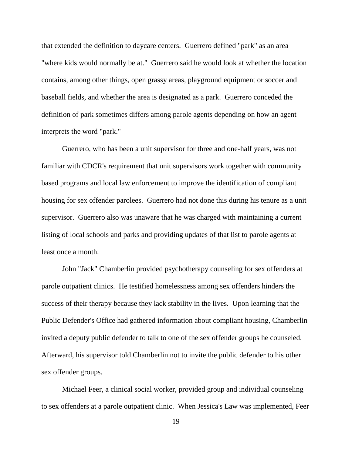that extended the definition to daycare centers. Guerrero defined "park" as an area "where kids would normally be at." Guerrero said he would look at whether the location contains, among other things, open grassy areas, playground equipment or soccer and baseball fields, and whether the area is designated as a park. Guerrero conceded the definition of park sometimes differs among parole agents depending on how an agent interprets the word "park."

Guerrero, who has been a unit supervisor for three and one-half years, was not familiar with CDCR's requirement that unit supervisors work together with community based programs and local law enforcement to improve the identification of compliant housing for sex offender parolees. Guerrero had not done this during his tenure as a unit supervisor. Guerrero also was unaware that he was charged with maintaining a current listing of local schools and parks and providing updates of that list to parole agents at least once a month.

John "Jack" Chamberlin provided psychotherapy counseling for sex offenders at parole outpatient clinics. He testified homelessness among sex offenders hinders the success of their therapy because they lack stability in the lives. Upon learning that the Public Defender's Office had gathered information about compliant housing, Chamberlin invited a deputy public defender to talk to one of the sex offender groups he counseled. Afterward, his supervisor told Chamberlin not to invite the public defender to his other sex offender groups.

Michael Feer, a clinical social worker, provided group and individual counseling to sex offenders at a parole outpatient clinic. When Jessica's Law was implemented, Feer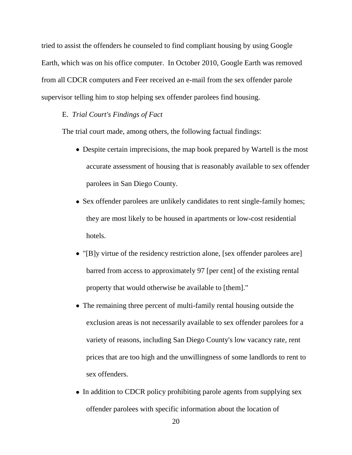tried to assist the offenders he counseled to find compliant housing by using Google Earth, which was on his office computer. In October 2010, Google Earth was removed from all CDCR computers and Feer received an e-mail from the sex offender parole supervisor telling him to stop helping sex offender parolees find housing.

### E. *Trial Court's Findings of Fact*

The trial court made, among others, the following factual findings:

- Despite certain imprecisions, the map book prepared by Wartell is the most accurate assessment of housing that is reasonably available to sex offender parolees in San Diego County.
- Sex offender parolees are unlikely candidates to rent single-family homes; they are most likely to be housed in apartments or low-cost residential hotels.
- "[B]y virtue of the residency restriction alone, [sex offender parolees are] barred from access to approximately 97 [per cent] of the existing rental property that would otherwise be available to [them]."
- The remaining three percent of multi-family rental housing outside the exclusion areas is not necessarily available to sex offender parolees for a variety of reasons, including San Diego County's low vacancy rate, rent prices that are too high and the unwillingness of some landlords to rent to sex offenders.
- In addition to CDCR policy prohibiting parole agents from supplying sex offender parolees with specific information about the location of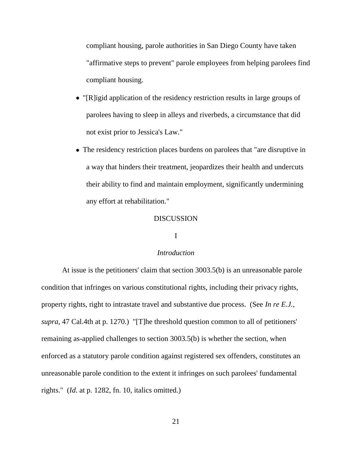compliant housing, parole authorities in San Diego County have taken "affirmative steps to prevent" parole employees from helping parolees find compliant housing.

- "[R]igid application of the residency restriction results in large groups of parolees having to sleep in alleys and riverbeds, a circumstance that did not exist prior to Jessica's Law."
- The residency restriction places burdens on parolees that "are disruptive in a way that hinders their treatment, jeopardizes their health and undercuts their ability to find and maintain employment, significantly undermining any effort at rehabilitation."

## DISCUSSION

## I

### *Introduction*

At issue is the petitioners' claim that section 3003.5(b) is an unreasonable parole condition that infringes on various constitutional rights, including their privacy rights, property rights, right to intrastate travel and substantive due process. (See *In re E.J.*, *supra*, 47 Cal.4th at p. 1270.) "[T]he threshold question common to all of petitioners' remaining as-applied challenges to section 3003.5(b) is whether the section, when enforced as a statutory parole condition against registered sex offenders, constitutes an unreasonable parole condition to the extent it infringes on such parolees' fundamental rights." (*Id*. at p. 1282, fn. 10, italics omitted.)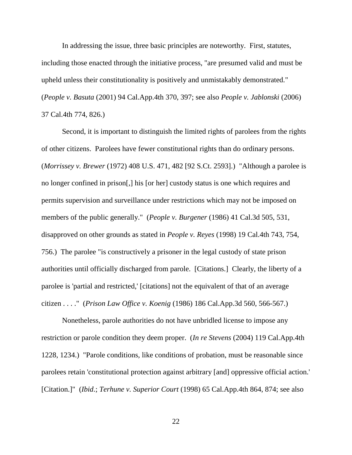In addressing the issue, three basic principles are noteworthy. First, statutes, including those enacted through the initiative process, "are presumed valid and must be upheld unless their constitutionality is positively and unmistakably demonstrated." (*People v. Basuta* (2001) 94 Cal.App.4th 370, 397; see also *People v. Jablonski* (2006) 37 Cal.4th 774, 826.)

Second, it is important to distinguish the limited rights of parolees from the rights of other citizens. Parolees have fewer constitutional rights than do ordinary persons. (*Morrissey v. Brewer* (1972) 408 U.S. 471, 482 [92 S.Ct. 2593].) "Although a parolee is no longer confined in prison[,] his [or her] custody status is one which requires and permits supervision and surveillance under restrictions which may not be imposed on members of the public generally." (*People v. Burgener* (1986) 41 Cal.3d 505, 531, disapproved on other grounds as stated in *People v. Reyes* (1998) 19 Cal.4th 743, 754, 756.) The parolee "is constructively a prisoner in the legal custody of state prison authorities until officially discharged from parole. [Citations.] Clearly, the liberty of a parolee is 'partial and restricted,' [citations] not the equivalent of that of an average citizen . . . ." (*Prison Law Office v. Koenig* (1986) 186 Cal.App.3d 560, 566-567.)

Nonetheless, parole authorities do not have unbridled license to impose any restriction or parole condition they deem proper. (*In re Stevens* (2004) 119 Cal.App.4th 1228, 1234.) "Parole conditions, like conditions of probation, must be reasonable since parolees retain 'constitutional protection against arbitrary [and] oppressive official action.' [Citation.]" (*Ibid*.; *Terhune v. Superior Court* (1998) 65 Cal.App.4th 864, 874; see also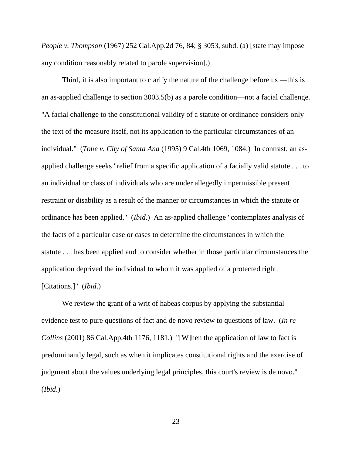*People v. Thompson* (1967) 252 Cal.App.2d 76, 84; § 3053, subd. (a) [state may impose any condition reasonably related to parole supervision].)

Third, it is also important to clarify the nature of the challenge before us —this is an as-applied challenge to section 3003.5(b) as a parole condition—not a facial challenge. "A facial challenge to the constitutional validity of a statute or ordinance considers only the text of the measure itself, not its application to the particular circumstances of an individual." (*Tobe v. City of Santa Ana* (1995) 9 Cal.4th 1069, 1084.) In contrast, an asapplied challenge seeks "relief from a specific application of a facially valid statute . . . to an individual or class of individuals who are under allegedly impermissible present restraint or disability as a result of the manner or circumstances in which the statute or ordinance has been applied." (*Ibid*.) An as-applied challenge "contemplates analysis of the facts of a particular case or cases to determine the circumstances in which the statute . . . has been applied and to consider whether in those particular circumstances the application deprived the individual to whom it was applied of a protected right. [Citations.]" (*Ibid*.)

We review the grant of a writ of habeas corpus by applying the substantial evidence test to pure questions of fact and de novo review to questions of law. (*In re Collins* (2001) 86 Cal.App.4th 1176, 1181.) "[W]hen the application of law to fact is predominantly legal, such as when it implicates constitutional rights and the exercise of judgment about the values underlying legal principles, this court's review is de novo." (*Ibid*.)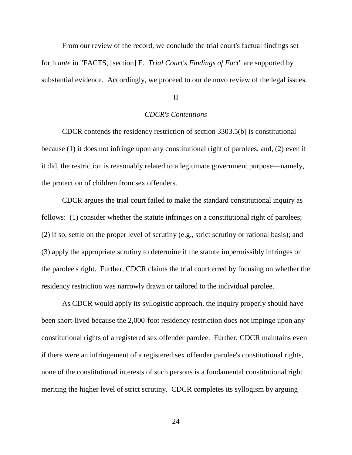From our review of the record, we conclude the trial court's factual findings set forth *ante* in "FACTS, [section] E. *Trial Court's Findings of Fact*" are supported by substantial evidence. Accordingly, we proceed to our de novo review of the legal issues.

#### II

## *CDCR's Contentions*

CDCR contends the residency restriction of section 3303.5(b) is constitutional because (1) it does not infringe upon any constitutional right of parolees, and, (2) even if it did, the restriction is reasonably related to a legitimate government purpose—namely, the protection of children from sex offenders.

CDCR argues the trial court failed to make the standard constitutional inquiry as follows: (1) consider whether the statute infringes on a constitutional right of parolees; (2) if so, settle on the proper level of scrutiny (e.g., strict scrutiny or rational basis); and (3) apply the appropriate scrutiny to determine if the statute impermissibly infringes on the parolee's right. Further, CDCR claims the trial court erred by focusing on whether the residency restriction was narrowly drawn or tailored to the individual parolee.

As CDCR would apply its syllogistic approach, the inquiry properly should have been short-lived because the 2,000-foot residency restriction does not impinge upon any constitutional rights of a registered sex offender parolee. Further, CDCR maintains even if there were an infringement of a registered sex offender parolee's constitutional rights, none of the constitutional interests of such persons is a fundamental constitutional right meriting the higher level of strict scrutiny. CDCR completes its syllogism by arguing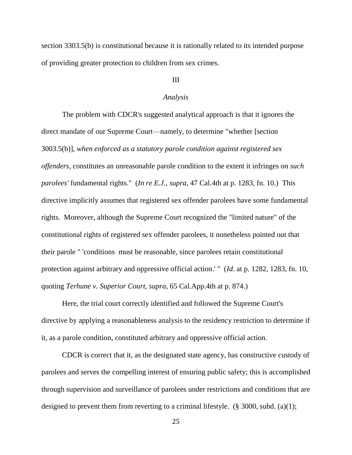section 3303.5(b) is constitutional because it is rationally related to its intended purpose of providing greater protection to children from sex crimes.

# III

#### *Analysis*

The problem with CDCR's suggested analytical approach is that it ignores the direct mandate of our Supreme Court—namely, to determine "whether [section 3003.5(b)], *when enforced as a statutory parole condition against registered sex offenders*, constitutes an unreasonable parole condition to the extent it infringes on *such parolees'* fundamental rights." (*In re E.J.*, *supra*, 47 Cal.4th at p. 1283, fn. 10.) This directive implicitly assumes that registered sex offender parolees have some fundamental rights. Moreover, although the Supreme Court recognized the "limited nature" of the constitutional rights of registered sex offender parolees, it nonetheless pointed out that their parole " 'conditions must be reasonable, since parolees retain constitutional protection against arbitrary and oppressive official action.' " (*Id*. at p. 1282, 1283, fn. 10, quoting *Terhune v. Superior Court*, *supra*, 65 Cal.App.4th at p. 874.)

Here, the trial court correctly identified and followed the Supreme Court's directive by applying a reasonableness analysis to the residency restriction to determine if it, as a parole condition, constituted arbitrary and oppressive official action.

CDCR is correct that it, as the designated state agency, has constructive custody of parolees and serves the compelling interest of ensuring public safety; this is accomplished through supervision and surveillance of parolees under restrictions and conditions that are designed to prevent them from reverting to a criminal lifestyle. ( $\S$  3000, subd. (a)(1);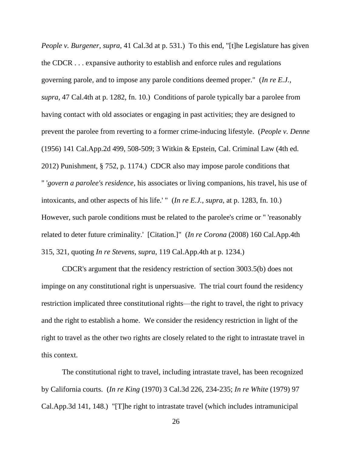*People v. Burgener*, *supra*, 41 Cal.3d at p. 531.) To this end, "[t]he Legislature has given the CDCR . . . expansive authority to establish and enforce rules and regulations governing parole, and to impose any parole conditions deemed proper." (*In re E.J.*, *supra*, 47 Cal.4th at p. 1282, fn. 10.) Conditions of parole typically bar a parolee from having contact with old associates or engaging in past activities; they are designed to prevent the parolee from reverting to a former crime-inducing lifestyle. (*People v. Denne* (1956) 141 Cal.App.2d 499, 508-509; 3 Witkin & Epstein, Cal. Criminal Law (4th ed. 2012) Punishment, § 752, p. 1174.) CDCR also may impose parole conditions that " '*govern a parolee's residence*, his associates or living companions, his travel, his use of intoxicants, and other aspects of his life.' " (*In re E.J.*, *supra*, at p. 1283, fn. 10.) However, such parole conditions must be related to the parolee's crime or " 'reasonably related to deter future criminality.' [Citation.]" (*In re Corona* (2008) 160 Cal.App.4th 315, 321, quoting *In re Stevens*, *supra*, 119 Cal.App.4th at p. 1234.)

CDCR's argument that the residency restriction of section 3003.5(b) does not impinge on any constitutional right is unpersuasive. The trial court found the residency restriction implicated three constitutional rights—the right to travel, the right to privacy and the right to establish a home. We consider the residency restriction in light of the right to travel as the other two rights are closely related to the right to intrastate travel in this context.

The constitutional right to travel, including intrastate travel, has been recognized by California courts. (*In re King* (1970) 3 Cal.3d 226, 234-235; *In re White* (1979) 97 Cal.App.3d 141, 148.) "[T]he right to intrastate travel (which includes intramunicipal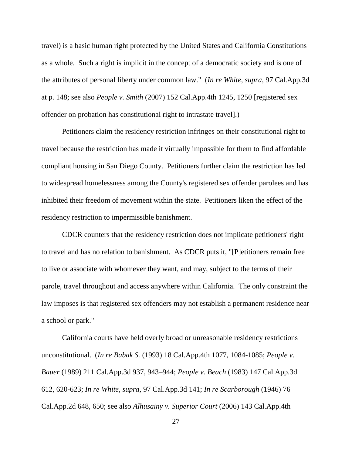travel) is a basic human right protected by the United States and California Constitutions as a whole. Such a right is implicit in the concept of a democratic society and is one of the attributes of personal liberty under common law." (*In re White*, *supra*, 97 Cal.App.3d at p. 148; see also *People v. Smith* (2007) 152 Cal.App.4th 1245, 1250 [registered sex offender on probation has constitutional right to intrastate travel].)

Petitioners claim the residency restriction infringes on their constitutional right to travel because the restriction has made it virtually impossible for them to find affordable compliant housing in San Diego County. Petitioners further claim the restriction has led to widespread homelessness among the County's registered sex offender parolees and has inhibited their freedom of movement within the state. Petitioners liken the effect of the residency restriction to impermissible banishment.

CDCR counters that the residency restriction does not implicate petitioners' right to travel and has no relation to banishment. As CDCR puts it, "[P]etitioners remain free to live or associate with whomever they want, and may, subject to the terms of their parole, travel throughout and access anywhere within California. The only constraint the law imposes is that registered sex offenders may not establish a permanent residence near a school or park."

California courts have held overly broad or unreasonable residency restrictions unconstitutional. (*In re Babak S.* (1993) 18 Cal.App.4th 1077, 1084-1085; *People v. Bauer* (1989) 211 Cal.App.3d 937, 943–944; *People v. Beach* (1983) 147 Cal.App.3d 612, 620-623; *In re White, supra,* 97 Cal.App.3d 141; *In re Scarborough* (1946) 76 Cal.App.2d 648, 650; see also *Alhusainy v. Superior Court* (2006) 143 Cal.App.4th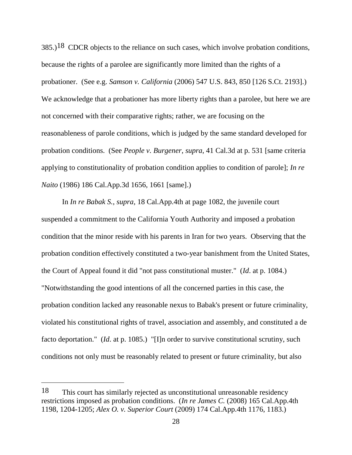$385.$ )<sup>18</sup> CDCR objects to the reliance on such cases, which involve probation conditions, because the rights of a parolee are significantly more limited than the rights of a probationer. (See e.g. *Samson v. California* (2006) 547 U.S. 843, 850 [126 S.Ct. 2193].) We acknowledge that a probationer has more liberty rights than a parolee, but here we are not concerned with their comparative rights; rather, we are focusing on the reasonableness of parole conditions, which is judged by the same standard developed for probation conditions. (See *People v. Burgener*, *supra*, 41 Cal.3d at p. 531 [same criteria applying to constitutionality of probation condition applies to condition of parole]; *In re Naito* (1986) 186 Cal.App.3d 1656, 1661 [same].)

In *In re Babak S.*, *supra*, 18 Cal.App.4th at page 1082, the juvenile court suspended a commitment to the California Youth Authority and imposed a probation condition that the minor reside with his parents in Iran for two years. Observing that the probation condition effectively constituted a two-year banishment from the United States, the Court of Appeal found it did "not pass constitutional muster." (*Id*. at p. 1084.) "Notwithstanding the good intentions of all the concerned parties in this case, the probation condition lacked any reasonable nexus to Babak's present or future criminality, violated his constitutional rights of travel, association and assembly, and constituted a de facto deportation." (*Id*. at p. 1085.) "[I]n order to survive constitutional scrutiny, such conditions not only must be reasonably related to present or future criminality, but also

<sup>18</sup> This court has similarly rejected as unconstitutional unreasonable residency restrictions imposed as probation conditions. (*In re James C.* (2008) 165 Cal.App.4th 1198, 1204-1205; *Alex O. v. Superior Court* (2009) 174 Cal.App.4th 1176, 1183.)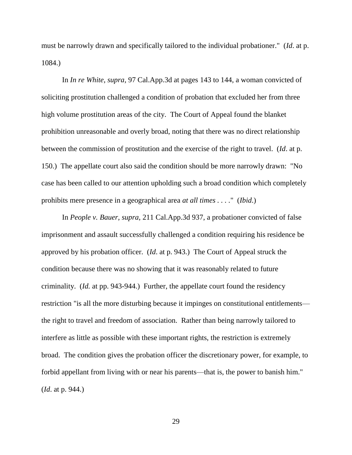must be narrowly drawn and specifically tailored to the individual probationer." (*Id*. at p. 1084.)

In *In re White*, *supra*, 97 Cal.App.3d at pages 143 to 144, a woman convicted of soliciting prostitution challenged a condition of probation that excluded her from three high volume prostitution areas of the city. The Court of Appeal found the blanket prohibition unreasonable and overly broad, noting that there was no direct relationship between the commission of prostitution and the exercise of the right to travel. (*Id*. at p. 150.) The appellate court also said the condition should be more narrowly drawn: "No case has been called to our attention upholding such a broad condition which completely prohibits mere presence in a geographical area *at all times . . . .*" (*Ibid*.)

In *People v. Bauer, supra,* 211 Cal.App.3d 937, a probationer convicted of false imprisonment and assault successfully challenged a condition requiring his residence be approved by his probation officer. (*Id*. at p. 943.) The Court of Appeal struck the condition because there was no showing that it was reasonably related to future criminality. (*Id.* at pp. 943-944.) Further, the appellate court found the residency restriction "is all the more disturbing because it impinges on constitutional entitlements the right to travel and freedom of association. Rather than being narrowly tailored to interfere as little as possible with these important rights, the restriction is extremely broad. The condition gives the probation officer the discretionary power, for example, to forbid appellant from living with or near his parents—that is, the power to banish him." (*Id*. at p. 944.)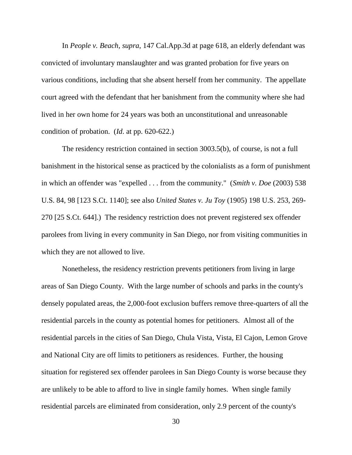In *People v. Beach*, *supra*, 147 Cal.App.3d at page 618, an elderly defendant was convicted of involuntary manslaughter and was granted probation for five years on various conditions, including that she absent herself from her community. The appellate court agreed with the defendant that her banishment from the community where she had lived in her own home for 24 years was both an unconstitutional and unreasonable condition of probation. (*Id*. at pp. 620-622.)

The residency restriction contained in section 3003.5(b), of course, is not a full banishment in the historical sense as practiced by the colonialists as a form of punishment in which an offender was "expelled . . . from the community." (*Smith v. Doe* (2003) 538 U.S. 84, 98 [123 S.Ct. 1140]; see also *United States v. Ju Toy* (1905) 198 U.S. 253, 269- 270 [25 S.Ct. 644].) The residency restriction does not prevent registered sex offender parolees from living in every community in San Diego, nor from visiting communities in which they are not allowed to live.

Nonetheless, the residency restriction prevents petitioners from living in large areas of San Diego County. With the large number of schools and parks in the county's densely populated areas, the 2,000-foot exclusion buffers remove three-quarters of all the residential parcels in the county as potential homes for petitioners. Almost all of the residential parcels in the cities of San Diego, Chula Vista, Vista, El Cajon, Lemon Grove and National City are off limits to petitioners as residences. Further, the housing situation for registered sex offender parolees in San Diego County is worse because they are unlikely to be able to afford to live in single family homes. When single family residential parcels are eliminated from consideration, only 2.9 percent of the county's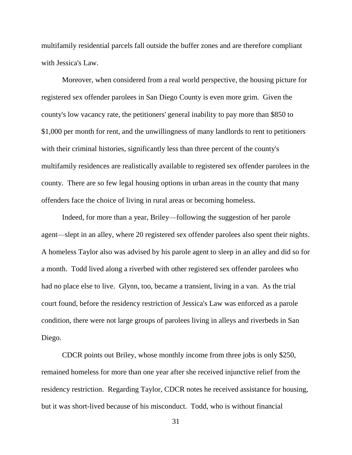multifamily residential parcels fall outside the buffer zones and are therefore compliant with Jessica's Law.

Moreover, when considered from a real world perspective, the housing picture for registered sex offender parolees in San Diego County is even more grim. Given the county's low vacancy rate, the petitioners' general inability to pay more than \$850 to \$1,000 per month for rent, and the unwillingness of many landlords to rent to petitioners with their criminal histories, significantly less than three percent of the county's multifamily residences are realistically available to registered sex offender parolees in the county. There are so few legal housing options in urban areas in the county that many offenders face the choice of living in rural areas or becoming homeless.

Indeed, for more than a year, Briley—following the suggestion of her parole agent—slept in an alley, where 20 registered sex offender parolees also spent their nights. A homeless Taylor also was advised by his parole agent to sleep in an alley and did so for a month. Todd lived along a riverbed with other registered sex offender parolees who had no place else to live. Glynn, too, became a transient, living in a van. As the trial court found, before the residency restriction of Jessica's Law was enforced as a parole condition, there were not large groups of parolees living in alleys and riverbeds in San Diego.

CDCR points out Briley, whose monthly income from three jobs is only \$250, remained homeless for more than one year after she received injunctive relief from the residency restriction. Regarding Taylor, CDCR notes he received assistance for housing, but it was short-lived because of his misconduct. Todd, who is without financial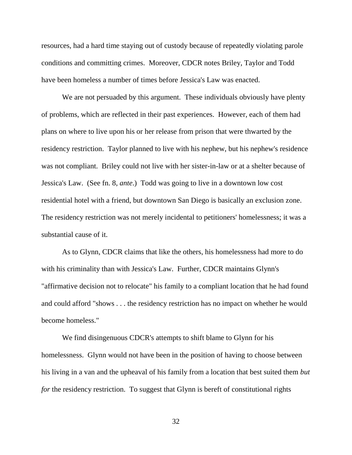resources, had a hard time staying out of custody because of repeatedly violating parole conditions and committing crimes. Moreover, CDCR notes Briley, Taylor and Todd have been homeless a number of times before Jessica's Law was enacted.

We are not persuaded by this argument. These individuals obviously have plenty of problems, which are reflected in their past experiences. However, each of them had plans on where to live upon his or her release from prison that were thwarted by the residency restriction. Taylor planned to live with his nephew, but his nephew's residence was not compliant. Briley could not live with her sister-in-law or at a shelter because of Jessica's Law. (See fn. 8, *ante*.) Todd was going to live in a downtown low cost residential hotel with a friend, but downtown San Diego is basically an exclusion zone. The residency restriction was not merely incidental to petitioners' homelessness; it was a substantial cause of it.

As to Glynn, CDCR claims that like the others, his homelessness had more to do with his criminality than with Jessica's Law. Further, CDCR maintains Glynn's "affirmative decision not to relocate" his family to a compliant location that he had found and could afford "shows . . . the residency restriction has no impact on whether he would become homeless."

We find disingenuous CDCR's attempts to shift blame to Glynn for his homelessness. Glynn would not have been in the position of having to choose between his living in a van and the upheaval of his family from a location that best suited them *but for* the residency restriction. To suggest that Glynn is bereft of constitutional rights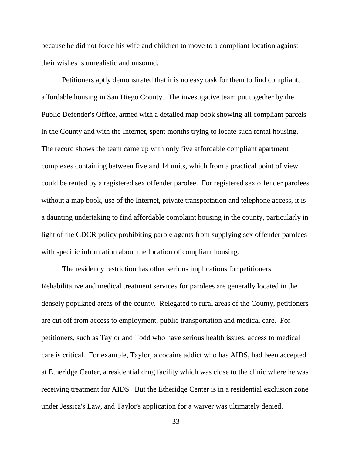because he did not force his wife and children to move to a compliant location against their wishes is unrealistic and unsound.

Petitioners aptly demonstrated that it is no easy task for them to find compliant, affordable housing in San Diego County. The investigative team put together by the Public Defender's Office, armed with a detailed map book showing all compliant parcels in the County and with the Internet, spent months trying to locate such rental housing. The record shows the team came up with only five affordable compliant apartment complexes containing between five and 14 units, which from a practical point of view could be rented by a registered sex offender parolee. For registered sex offender parolees without a map book, use of the Internet, private transportation and telephone access, it is a daunting undertaking to find affordable complaint housing in the county, particularly in light of the CDCR policy prohibiting parole agents from supplying sex offender parolees with specific information about the location of compliant housing.

The residency restriction has other serious implications for petitioners. Rehabilitative and medical treatment services for parolees are generally located in the densely populated areas of the county. Relegated to rural areas of the County, petitioners are cut off from access to employment, public transportation and medical care. For petitioners, such as Taylor and Todd who have serious health issues, access to medical care is critical. For example, Taylor, a cocaine addict who has AIDS, had been accepted at Etheridge Center, a residential drug facility which was close to the clinic where he was receiving treatment for AIDS. But the Etheridge Center is in a residential exclusion zone under Jessica's Law, and Taylor's application for a waiver was ultimately denied.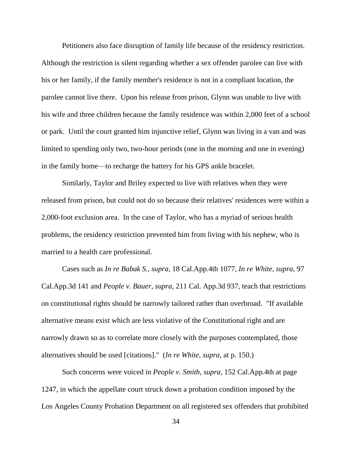Petitioners also face disruption of family life because of the residency restriction. Although the restriction is silent regarding whether a sex offender parolee can live with his or her family, if the family member's residence is not in a compliant location, the parolee cannot live there. Upon his release from prison, Glynn was unable to live with his wife and three children because the family residence was within 2,000 feet of a school or park. Until the court granted him injunctive relief, Glynn was living in a van and was limited to spending only two, two-hour periods (one in the morning and one in evening) in the family home—to recharge the battery for his GPS ankle bracelet.

Similarly, Taylor and Briley expected to live with relatives when they were released from prison, but could not do so because their relatives' residences were within a 2,000-foot exclusion area. In the case of Taylor, who has a myriad of serious health problems, the residency restriction prevented him from living with his nephew, who is married to a health care professional.

Cases such as *In re Babak S.*, *supra*, 18 Cal.App.4th 1077, *In re White*, *supra*, 97 Cal.App.3d 141 and *People v. Bauer*, *supra*, 211 Cal. App.3d 937, teach that restrictions on constitutional rights should be narrowly tailored rather than overbroad. "If available alternative means exist which are less violative of the Constitutional right and are narrowly drawn so as to correlate more closely with the purposes contemplated, those alternatives should be used [citations]." (*In re White*, *supra*, at p. 150.)

Such concerns were voiced in *People v. Smith*, *supra*, 152 Cal.App.4th at page 1247, in which the appellate court struck down a probation condition imposed by the Los Angeles County Probation Department on all registered sex offenders that prohibited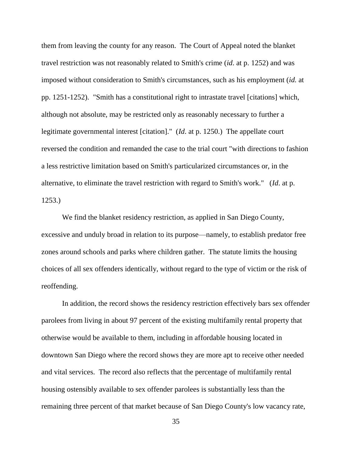them from leaving the county for any reason. The Court of Appeal noted the blanket travel restriction was not reasonably related to Smith's crime (*id*. at p. 1252) and was imposed without consideration to Smith's circumstances, such as his employment (*id.* at pp. 1251-1252). "Smith has a constitutional right to intrastate travel [citations] which, although not absolute, may be restricted only as reasonably necessary to further a legitimate governmental interest [citation]." (*Id*. at p. 1250.) The appellate court reversed the condition and remanded the case to the trial court "with directions to fashion a less restrictive limitation based on Smith's particularized circumstances or, in the alternative, to eliminate the travel restriction with regard to Smith's work." (*Id*. at p. 1253.)

We find the blanket residency restriction, as applied in San Diego County, excessive and unduly broad in relation to its purpose—namely, to establish predator free zones around schools and parks where children gather. The statute limits the housing choices of all sex offenders identically, without regard to the type of victim or the risk of reoffending.

In addition, the record shows the residency restriction effectively bars sex offender parolees from living in about 97 percent of the existing multifamily rental property that otherwise would be available to them, including in affordable housing located in downtown San Diego where the record shows they are more apt to receive other needed and vital services. The record also reflects that the percentage of multifamily rental housing ostensibly available to sex offender parolees is substantially less than the remaining three percent of that market because of San Diego County's low vacancy rate,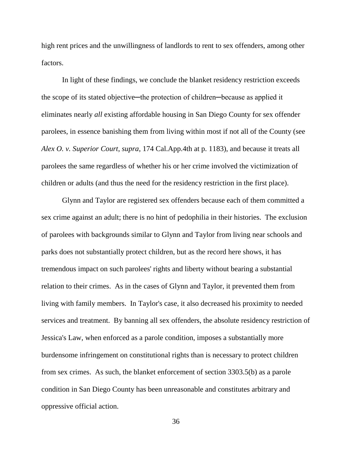high rent prices and the unwillingness of landlords to rent to sex offenders, among other factors.

In light of these findings, we conclude the blanket residency restriction exceeds the scope of its stated objective—the protection of children—because as applied it eliminates nearly *all* existing affordable housing in San Diego County for sex offender parolees, in essence banishing them from living within most if not all of the County (see *Alex O. v. Superior Court*, *supra*, 174 Cal.App.4th at p. 1183), and because it treats all parolees the same regardless of whether his or her crime involved the victimization of children or adults (and thus the need for the residency restriction in the first place).

Glynn and Taylor are registered sex offenders because each of them committed a sex crime against an adult; there is no hint of pedophilia in their histories. The exclusion of parolees with backgrounds similar to Glynn and Taylor from living near schools and parks does not substantially protect children, but as the record here shows, it has tremendous impact on such parolees' rights and liberty without bearing a substantial relation to their crimes. As in the cases of Glynn and Taylor, it prevented them from living with family members. In Taylor's case, it also decreased his proximity to needed services and treatment. By banning all sex offenders, the absolute residency restriction of Jessica's Law, when enforced as a parole condition, imposes a substantially more burdensome infringement on constitutional rights than is necessary to protect children from sex crimes. As such, the blanket enforcement of section 3303.5(b) as a parole condition in San Diego County has been unreasonable and constitutes arbitrary and oppressive official action.